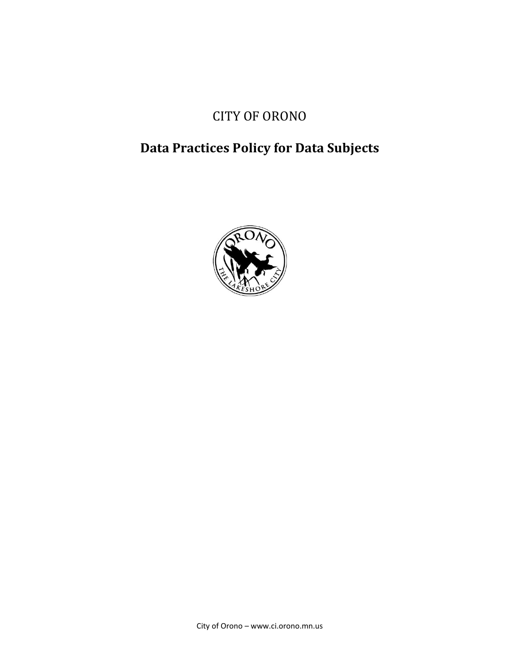# CITY OF ORONO

# **Data Practices Policy for Data Subjects**

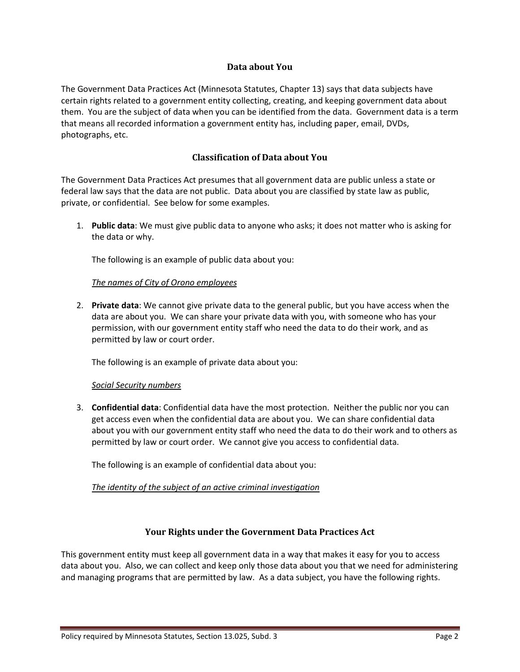#### **Data about You**

The Government Data Practices Act (Minnesota Statutes, Chapter 13) says that data subjects have certain rights related to a government entity collecting, creating, and keeping government data about them. You are the subject of data when you can be identified from the data. Government data is a term that means all recorded information a government entity has, including paper, email, DVDs, photographs, etc.

### **Classification of Data about You**

The Government Data Practices Act presumes that all government data are public unless a state or federal law says that the data are not public. Data about you are classified by state law as public, private, or confidential. See below for some examples.

1. **Public data**: We must give public data to anyone who asks; it does not matter who is asking for the data or why.

The following is an example of public data about you:

#### *The names of City of Orono employees*

2. **Private data**: We cannot give private data to the general public, but you have access when the data are about you. We can share your private data with you, with someone who has your permission, with our government entity staff who need the data to do their work, and as permitted by law or court order.

The following is an example of private data about you:

#### *Social Security numbers*

3. **Confidential data**: Confidential data have the most protection. Neither the public nor you can get access even when the confidential data are about you. We can share confidential data about you with our government entity staff who need the data to do their work and to others as permitted by law or court order. We cannot give you access to confidential data.

The following is an example of confidential data about you:

#### *The identity of the subject of an active criminal investigation*

## **Your Rights under the Government Data Practices Act**

This government entity must keep all government data in a way that makes it easy for you to access data about you. Also, we can collect and keep only those data about you that we need for administering and managing programs that are permitted by law. As a data subject, you have the following rights.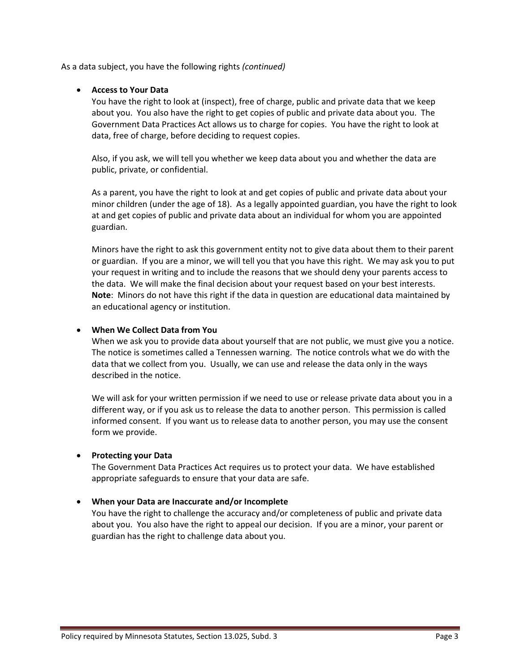As a data subject, you have the following rights *(continued)*

#### **Access to Your Data**

You have the right to look at (inspect), free of charge, public and private data that we keep about you. You also have the right to get copies of public and private data about you. The Government Data Practices Act allows us to charge for copies. You have the right to look at data, free of charge, before deciding to request copies.

Also, if you ask, we will tell you whether we keep data about you and whether the data are public, private, or confidential.

As a parent, you have the right to look at and get copies of public and private data about your minor children (under the age of 18). As a legally appointed guardian, you have the right to look at and get copies of public and private data about an individual for whom you are appointed guardian.

Minors have the right to ask this government entity not to give data about them to their parent or guardian. If you are a minor, we will tell you that you have this right. We may ask you to put your request in writing and to include the reasons that we should deny your parents access to the data. We will make the final decision about your request based on your best interests. **Note**: Minors do not have this right if the data in question are educational data maintained by an educational agency or institution.

#### **When We Collect Data from You**

When we ask you to provide data about yourself that are not public, we must give you a notice. The notice is sometimes called a Tennessen warning. The notice controls what we do with the data that we collect from you. Usually, we can use and release the data only in the ways described in the notice.

We will ask for your written permission if we need to use or release private data about you in a different way, or if you ask us to release the data to another person. This permission is called informed consent. If you want us to release data to another person, you may use the consent form we provide.

#### **Protecting your Data**

The Government Data Practices Act requires us to protect your data. We have established appropriate safeguards to ensure that your data are safe.

#### **When your Data are Inaccurate and/or Incomplete**

You have the right to challenge the accuracy and/or completeness of public and private data about you. You also have the right to appeal our decision. If you are a minor, your parent or guardian has the right to challenge data about you.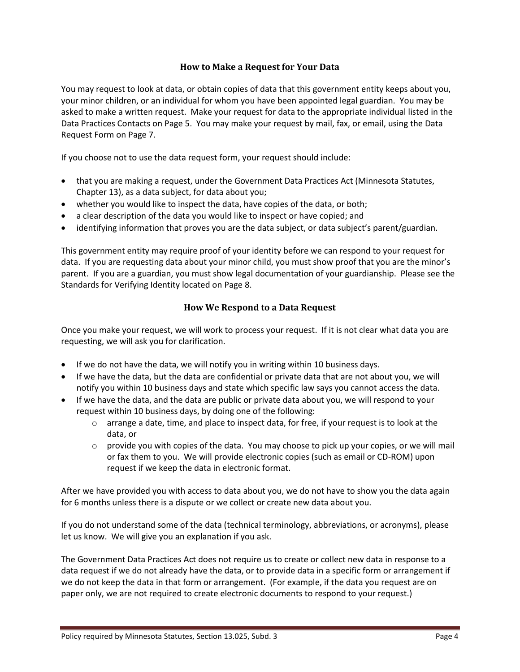### **How to Make a Request for Your Data**

You may request to look at data, or obtain copies of data that this government entity keeps about you, your minor children, or an individual for whom you have been appointed legal guardian. You may be asked to make a written request. Make your request for data to the appropriate individual listed in the Data Practices Contacts on Page 5. You may make your request by mail, fax, or email, using the Data Request Form on Page 7.

If you choose not to use the data request form, your request should include:

- that you are making a request, under the Government Data Practices Act (Minnesota Statutes, Chapter 13), as a data subject, for data about you;
- whether you would like to inspect the data, have copies of the data, or both;
- a clear description of the data you would like to inspect or have copied; and
- identifying information that proves you are the data subject, or data subject's parent/guardian.

This government entity may require proof of your identity before we can respond to your request for data. If you are requesting data about your minor child, you must show proof that you are the minor's parent. If you are a guardian, you must show legal documentation of your guardianship. Please see the Standards for Verifying Identity located on Page 8.

## **How We Respond to a Data Request**

Once you make your request, we will work to process your request. If it is not clear what data you are requesting, we will ask you for clarification.

- If we do not have the data, we will notify you in writing within 10 business days.
- If we have the data, but the data are confidential or private data that are not about you, we will notify you within 10 business days and state which specific law says you cannot access the data.
- If we have the data, and the data are public or private data about you, we will respond to your request within 10 business days, by doing one of the following:
	- $\circ$  arrange a date, time, and place to inspect data, for free, if your request is to look at the data, or
	- $\circ$  provide you with copies of the data. You may choose to pick up your copies, or we will mail or fax them to you. We will provide electronic copies (such as email or CD-ROM) upon request if we keep the data in electronic format.

After we have provided you with access to data about you, we do not have to show you the data again for 6 months unless there is a dispute or we collect or create new data about you.

If you do not understand some of the data (technical terminology, abbreviations, or acronyms), please let us know. We will give you an explanation if you ask.

The Government Data Practices Act does not require us to create or collect new data in response to a data request if we do not already have the data, or to provide data in a specific form or arrangement if we do not keep the data in that form or arrangement. (For example, if the data you request are on paper only, we are not required to create electronic documents to respond to your request.)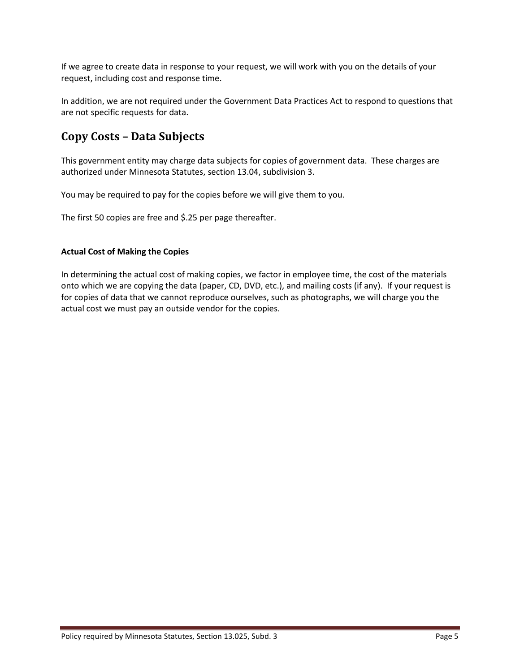If we agree to create data in response to your request, we will work with you on the details of your request, including cost and response time.

In addition, we are not required under the Government Data Practices Act to respond to questions that are not specific requests for data.

# **Copy Costs – Data Subjects**

This government entity may charge data subjects for copies of government data. These charges are authorized under Minnesota Statutes, section 13.04, subdivision 3.

You may be required to pay for the copies before we will give them to you.

The first 50 copies are free and \$.25 per page thereafter.

#### **Actual Cost of Making the Copies**

In determining the actual cost of making copies, we factor in employee time, the cost of the materials onto which we are copying the data (paper, CD, DVD, etc.), and mailing costs (if any). If your request is for copies of data that we cannot reproduce ourselves, such as photographs, we will charge you the actual cost we must pay an outside vendor for the copies.